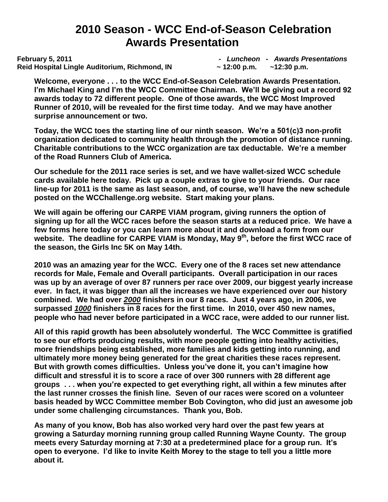# **2010 Season - WCC End-of-Season Celebration Awards Presentation**

**February 5, 2011** *- Luncheon - Awards Presentations* **Reid Hospital Lingle Auditorium, Richmond, IN ~ 12:00 p.m. ~12:30 p.m.** 

**Welcome, everyone . . . to the WCC End-of-Season Celebration Awards Presentation. I'm Michael King and I'm the WCC Committee Chairman. We'll be giving out a record 92 awards today to 72 different people. One of those awards, the WCC Most Improved Runner of 2010, will be revealed for the first time today. And we may have another surprise announcement or two.**

**Today, the WCC toes the starting line of our ninth season. We're a 501(c)3 non-profit organization dedicated to community health through the promotion of distance running. Charitable contributions to the WCC organization are tax deductable. We're a member of the Road Runners Club of America.**

**Our schedule for the 2011 race series is set, and we have wallet-sized WCC schedule cards available here today. Pick up a couple extras to give to your friends. Our race line-up for 2011 is the same as last season, and, of course, we'll have the new schedule posted on the WCChallenge.org website. Start making your plans.** 

**We will again be offering our CARPE VIAM program, giving runners the option of signing up for all the WCC races before the season starts at a reduced price. We have a few forms here today or you can learn more about it and download a form from our website. The deadline for CARPE VIAM is Monday, May 9th , before the first WCC race of the season, the Girls Inc 5K on May 14th.** 

**2010 was an amazing year for the WCC. Every one of the 8 races set new attendance records for Male, Female and Overall participants. Overall participation in our races was up by an average of over 87 runners per race over 2009, our biggest yearly increase ever. In fact, it was bigger than all the increases we have experienced over our history combined. We had over** *2000* **finishers in our 8 races. Just 4 years ago, in 2006, we surpassed** *1000* **finishers in 8 races for the first time. In 2010, over 450 new names, people who had never before participated in a WCC race, were added to our runner list.** 

**All of this rapid growth has been absolutely wonderful. The WCC Committee is gratified to see our efforts producing results, with more people getting into healthy activities, more friendships being established, more families and kids getting into running, and ultimately more money being generated for the great charities these races represent. But with growth comes difficulties. Unless you've done it, you can't imagine how difficult and stressful it is to score a race of over 300 runners with 28 different age groups . . . when you're expected to get everything right, all within a few minutes after the last runner crosses the finish line. Seven of our races were scored on a volunteer basis headed by WCC Committee member Bob Covington, who did just an awesome job under some challenging circumstances. Thank you, Bob.** 

**As many of you know, Bob has also worked very hard over the past few years at growing a Saturday morning running group called Running Wayne County. The group meets every Saturday morning at 7:30 at a predetermined place for a group run. It's open to everyone. I'd like to invite Keith Morey to the stage to tell you a little more about it.**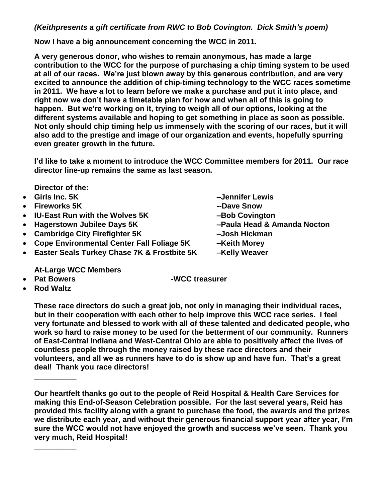### *(Keithpresents a gift certificate from RWC to Bob Covington. Dick Smith's poem)*

**Now I have a big announcement concerning the WCC in 2011.**

**A very generous donor, who wishes to remain anonymous, has made a large contribution to the WCC for the purpose of purchasing a chip timing system to be used at all of our races. We're just blown away by this generous contribution, and are very excited to announce the addition of chip-timing technology to the WCC races sometime in 2011. We have a lot to learn before we make a purchase and put it into place, and right now we don't have a timetable plan for how and when all of this is going to happen. But we're working on it, trying to weigh all of our options, looking at the different systems available and hoping to get something in place as soon as possible. Not only should chip timing help us immensely with the scoring of our races, but it will also add to the prestige and image of our organization and events, hopefully spurring even greater growth in the future.**

**I'd like to take a moment to introduce the WCC Committee members for 2011. Our race director line-up remains the same as last season.**

**Director of the:** 

- 
- 
- IU-East Run with the Wolves 5K Bob Covington
- 
- **Cambridge City Firefighter 5K –Josh Hickman**
- **Cope Environmental Center Fall Foliage 5K –Keith Morey**
- **Easter Seals Turkey Chase 7K & Frostbite 5K –Kelly Weaver**

**At-Large WCC Members**

- **Pat Bowers -WCC treasurer**
	- **Rod Waltz**

**\_\_\_\_\_\_\_\_\_\_**

**\_\_\_\_\_\_\_\_\_\_**

**These race directors do such a great job, not only in managing their individual races, but in their cooperation with each other to help improve this WCC race series. I feel very fortunate and blessed to work with all of these talented and dedicated people, who work so hard to raise money to be used for the betterment of our community. Runners of East-Central Indiana and West-Central Ohio are able to positively affect the lives of countless people through the money raised by these race directors and their volunteers, and all we as runners have to do is show up and have fun. That's a great deal! Thank you race directors!**

**Our heartfelt thanks go out to the people of Reid Hospital & Health Care Services for making this End-of-Season Celebration possible. For the last several years, Reid has provided this facility along with a grant to purchase the food, the awards and the prizes we distribute each year, and without their generous financial support year after year, I'm sure the WCC would not have enjoyed the growth and success we've seen. Thank you very much, Reid Hospital!** 

 **Girls Inc. 5K –Jennifer Lewis Fireworks 5K --Dave Snow Hagerstown Jubilee Days 5K –Paula Head & Amanda Nocton**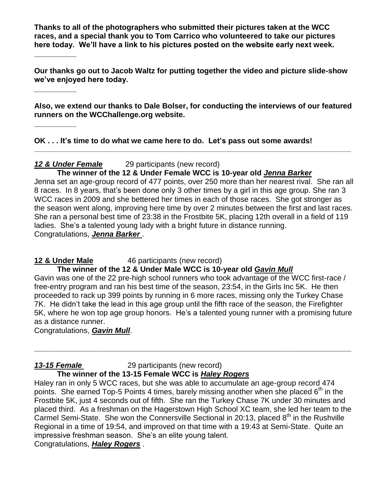**Thanks to all of the photographers who submitted their pictures taken at the WCC races, and a special thank you to Tom Carrico who volunteered to take our pictures here today. We'll have a link to his pictures posted on the website early next week.** 

**Our thanks go out to Jacob Waltz for putting together the video and picture slide-show we've enjoyed here today.**

**Also, we extend our thanks to Dale Bolser, for conducting the interviews of our featured runners on the WCChallenge.org website.** 

**\_\_\_\_\_\_\_\_\_\_\_\_\_\_\_\_\_\_\_\_\_\_\_\_\_\_\_\_\_\_\_\_\_\_\_\_\_\_\_\_\_\_\_\_\_\_\_\_\_\_\_\_\_\_\_\_\_\_\_\_\_\_\_\_\_\_\_\_\_\_\_\_\_\_\_\_\_\_\_\_\_\_\_\_\_\_\_\_\_\_**

**OK . . . It's time to do what we came here to do. Let's pass out some awards!** 

# *12 & Under Female* 29 participants (new record)

### **The winner of the 12 & Under Female WCC is 10-year old** *Jenna Barker*

Jenna set an age-group record of 477 points, over 250 more than her nearest rival. She ran all 8 races. In 8 years, that's been done only 3 other times by a girl in this age group. She ran 3 WCC races in 2009 and she bettered her times in each of those races. She got stronger as the season went along, improving here time by over 2 minutes between the first and last races. She ran a personal best time of 23:38 in the Frostbite 5K, placing 12th overall in a field of 119 ladies. She's a talented young lady with a bright future in distance running. Congratulations, *Jenna Barker* .

# **12 & Under Male** 46 participants (new record)

# **The winner of the 12 & Under Male WCC is 10-year old** *Gavin Mull*

Gavin was one of the 22 pre-high school runners who took advantage of the WCC first-race / free-entry program and ran his best time of the season, 23:54, in the Girls Inc 5K. He then proceeded to rack up 399 points by running in 6 more races, missing only the Turkey Chase 7K. He didn't take the lead in this age group until the fifth race of the season, the Firefighter 5K, where he won top age group honors. He's a talented young runner with a promising future as a distance runner.

**\_\_\_\_\_\_\_\_\_\_\_\_\_\_\_\_\_\_\_\_\_\_\_\_\_\_\_\_\_\_\_\_\_\_\_\_\_\_\_\_\_\_\_\_\_\_\_\_\_\_\_\_\_\_\_\_\_\_\_\_\_\_\_\_\_\_\_\_\_\_\_\_\_\_\_**

Congratulations, *Gavin Mull*.

**\_\_\_\_\_\_\_\_\_\_**

**\_\_\_\_\_\_\_\_\_\_** 

**\_\_\_\_\_\_\_\_\_\_** 

# *13-15 Female* 29 participants (new record)

#### **The winner of the 13-15 Female WCC is** *Haley Rogers*

Haley ran in only 5 WCC races, but she was able to accumulate an age-group record 474 points. She earned Top-5 Points 4 times, barely missing another when she placed  $6<sup>th</sup>$  in the Frostbite 5K, just 4 seconds out of fifth. She ran the Turkey Chase 7K under 30 minutes and placed third. As a freshman on the Hagerstown High School XC team, she led her team to the Carmel Semi-State. She won the Connersville Sectional in 20:13, placed 8<sup>th</sup> in the Rushville Regional in a time of 19:54, and improved on that time with a 19:43 at Semi-State. Quite an impressive freshman season. She's an elite young talent.

Congratulations, *Haley Rogers* .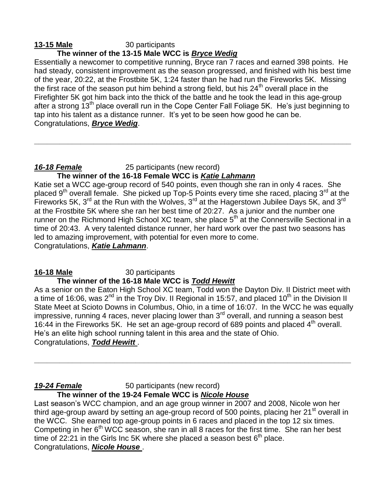#### **13-15 Male** 30 participants **The winner of the 13-15 Male WCC is** *Bryce Wedig*

Essentially a newcomer to competitive running, Bryce ran 7 races and earned 398 points. He had steady, consistent improvement as the season progressed, and finished with his best time of the year, 20:22, at the Frostbite 5K, 1:24 faster than he had run the Fireworks 5K. Missing the first race of the season put him behind a strong field, but his  $24<sup>th</sup>$  overall place in the Firefighter 5K got him back into the thick of the battle and he took the lead in this age-group after a strong 13<sup>th</sup> place overall run in the Cope Center Fall Foliage 5K. He's just beginning to tap into his talent as a distance runner. It's yet to be seen how good he can be. Congratulations, *Bryce Wedig*.

**\_\_\_\_\_\_\_\_\_\_\_\_\_\_\_\_\_\_\_\_\_\_\_\_\_\_\_\_\_\_\_\_\_\_\_\_\_\_\_\_\_\_\_\_\_\_\_\_\_\_\_\_\_\_\_\_\_\_\_\_\_\_\_\_\_\_\_\_\_\_\_\_\_\_\_**

# *16-18 Female* 25 participants (new record)

# **The winner of the 16-18 Female WCC is** *Katie Lahmann*

Katie set a WCC age-group record of 540 points, even though she ran in only 4 races. She placed 9<sup>th</sup> overall female. She picked up Top-5 Points every time she raced, placing 3<sup>rd</sup> at the Fireworks 5K,  $3^{rd}$  at the Run with the Wolves,  $3^{rd}$  at the Hagerstown Jubilee Days 5K, and  $3^{rd}$ at the Frostbite 5K where she ran her best time of 20:27. As a junior and the number one runner on the Richmond High School XC team, she place 5<sup>th</sup> at the Connersville Sectional in a time of 20:43. A very talented distance runner, her hard work over the past two seasons has led to amazing improvement, with potential for even more to come.

Congratulations, *Katie Lahmann*.

#### **16-18 Male** 30 participants  **The winner of the 16-18 Male WCC is** *Todd Hewitt*

As a senior on the Eaton High School XC team, Todd won the Dayton Div. II District meet with a time of 16:06, was  $2^{nd}$  in the Troy Div. II Regional in 15:57, and placed 10<sup>th</sup> in the Division II State Meet at Scioto Downs in Columbus, Ohio, in a time of 16:07. In the WCC he was equally impressive, running 4 races, never placing lower than  $3<sup>rd</sup>$  overall, and running a season best 16:44 in the Fireworks 5K. He set an age-group record of 689 points and placed  $4<sup>th</sup>$  overall. He's an elite high school running talent in this area and the state of Ohio. Congratulations, *Todd Hewitt* .

**\_\_\_\_\_\_\_\_\_\_\_\_\_\_\_\_\_\_\_\_\_\_\_\_\_\_\_\_\_\_\_\_\_\_\_\_\_\_\_\_\_\_\_\_\_\_\_\_\_\_\_\_\_\_\_\_\_\_\_\_\_\_\_\_\_\_\_\_\_\_\_\_\_\_\_**

#### **19-24 Female** 50 participants (new record) **The winner of the 19-24 Female WCC is** *Nicole House*

Last season's WCC champion, and an age group winner in 2007 and 2008, Nicole won her third age-group award by setting an age-group record of 500 points, placing her 21<sup>st</sup> overall in the WCC. She earned top age-group points in 6 races and placed in the top 12 six times. Competing in her  $6<sup>th</sup> WCC$  season, she ran in all 8 races for the first time. She ran her best time of 22:21 in the Girls Inc 5K where she placed a season best  $6<sup>th</sup>$  place. Congratulations, *Nicole House* .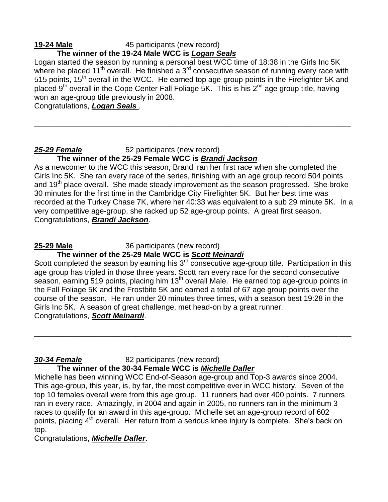#### **19-24 Male** 45 participants (new record) **The winner of the 19-24 Male WCC is** *Logan Seals*

Logan started the season by running a personal best WCC time of 18:38 in the Girls Inc 5K where he placed 11<sup>th</sup> overall. He finished a 3<sup>rd</sup> consecutive season of running every race with 515 points,  $15<sup>th</sup>$  overall in the WCC. He earned top age-group points in the Firefighter 5K and placed 9<sup>th</sup> overall in the Cope Center Fall Foliage 5K. This is his 2<sup>nd</sup> age group title, having won an age-group title previously in 2008.

**\_\_\_\_\_\_\_\_\_\_\_\_\_\_\_\_\_\_\_\_\_\_\_\_\_\_\_\_\_\_\_\_\_\_\_\_\_\_\_\_\_\_\_\_\_\_\_\_\_\_\_\_\_\_\_\_\_\_\_\_\_\_\_\_\_\_\_\_\_\_\_\_\_\_\_**

Congratulations, *Logan Seals* .

#### *25-29 Female* 52 participants (new record) **The winner of the 25-29 Female WCC is** *Brandi Jackson*

As a newcomer to the WCC this season, Brandi ran her first race when she completed the Girls Inc 5K. She ran every race of the series, finishing with an age group record 504 points and  $19<sup>th</sup>$  place overall. She made steady improvement as the season progressed. She broke 30 minutes for the first time in the Cambridge City Firefighter 5K. But her best time was recorded at the Turkey Chase 7K, where her 40:33 was equivalent to a sub 29 minute 5K. In a very competitive age-group, she racked up 52 age-group points. A great first season. Congratulations, *Brandi Jackson*.

# **25-29 Male** 36 participants (new record) **The winner of the 25-29 Male WCC is** *Scott Meinardi*

Scott completed the season by earning his  $3<sup>rd</sup>$  consecutive age-group title. Participation in this age group has tripled in those three years. Scott ran every race for the second consecutive season, earning 519 points, placing him 13<sup>th</sup> overall Male. He earned top age-group points in the Fall Foliage 5K and the Frostbite 5K and earned a total of 67 age group points over the course of the season. He ran under 20 minutes three times, with a season best 19:28 in the Girls Inc 5K. A season of great challenge, met head-on by a great runner. Congratulations, *Scott Meinardi*.

**\_\_\_\_\_\_\_\_\_\_\_\_\_\_\_\_\_\_\_\_\_\_\_\_\_\_\_\_\_\_\_\_\_\_\_\_\_\_\_\_\_\_\_\_\_\_\_\_\_\_\_\_\_\_\_\_\_\_\_\_\_\_\_\_\_\_\_\_\_\_\_\_\_\_\_**

*30-34 Female* 82 participants (new record)

**The winner of the 30-34 Female WCC is** *Michelle Dafler*

Michelle has been winning WCC End-of-Season age-group and Top-3 awards since 2004. This age-group, this year, is, by far, the most competitive ever in WCC history. Seven of the top 10 females overall were from this age group. 11 runners had over 400 points. 7 runners ran in every race. Amazingly, in 2004 and again in 2005, no runners ran in the minimum 3 races to qualify for an award in this age-group. Michelle set an age-group record of 602 points, placing 4<sup>th</sup> overall. Her return from a serious knee injury is complete. She's back on top.

Congratulations, *Michelle Dafler*.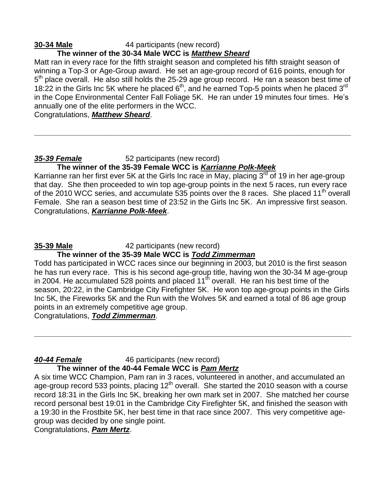#### **30-34 Male** 44 participants (new record) **The winner of the 30-34 Male WCC is** *Matthew Sheard*

Matt ran in every race for the fifth straight season and completed his fifth straight season of winning a Top-3 or Age-Group award. He set an age-group record of 616 points, enough for 5<sup>th</sup> place overall. He also still holds the 25-29 age group record. He ran a season best time of 18:22 in the Girls Inc 5K where he placed  $6<sup>th</sup>$ , and he earned Top-5 points when he placed 3<sup>rd</sup> in the Cope Environmental Center Fall Foliage 5K. He ran under 19 minutes four times. He's annually one of the elite performers in the WCC.

**\_\_\_\_\_\_\_\_\_\_\_\_\_\_\_\_\_\_\_\_\_\_\_\_\_\_\_\_\_\_\_\_\_\_\_\_\_\_\_\_\_\_\_\_\_\_\_\_\_\_\_\_\_\_\_\_\_\_\_\_\_\_\_\_\_\_\_\_\_\_\_\_\_\_\_**

Congratulations, *Matthew Sheard*.

#### *35-39 Female* 52 participants (new record) **The winner of the 35-39 Female WCC is** *Karrianne Polk-Meek*

Karrianne ran her first ever 5K at the Girls Inc race in May, placing  $3<sup>rd</sup>$  of 19 in her age-group that day. She then proceeded to win top age-group points in the next 5 races, run every race of the 2010 WCC series, and accumulate 535 points over the 8 races. She placed 11<sup>th</sup> overall Female. She ran a season best time of 23:52 in the Girls Inc 5K. An impressive first season. Congratulations, *Karrianne Polk-Meek*.

# **35-39 Male** 42 participants (new record) **The winner of the 35-39 Male WCC is** *Todd Zimmerman*

Todd has participated in WCC races since our beginning in 2003, but 2010 is the first season he has run every race. This is his second age-group title, having won the 30-34 M age-group in 2004. He accumulated 528 points and placed  $11<sup>th</sup>$  overall. He ran his best time of the season, 20:22, in the Cambridge City Firefighter 5K. He won top age-group points in the Girls Inc 5K, the Fireworks 5K and the Run with the Wolves 5K and earned a total of 86 age group points in an extremely competitive age group.

**\_\_\_\_\_\_\_\_\_\_\_\_\_\_\_\_\_\_\_\_\_\_\_\_\_\_\_\_\_\_\_\_\_\_\_\_\_\_\_\_\_\_\_\_\_\_\_\_\_\_\_\_\_\_\_\_\_\_\_\_\_\_\_\_\_\_\_\_\_\_\_\_\_\_\_**

Congratulations, *Todd Zimmerman*.

#### *40-44 Female* 46 participants (new record) **The winner of the 40-44 Female WCC is** *Pam Mertz*

A six time WCC Champion, Pam ran in 3 races, volunteered in another, and accumulated an age-group record 533 points, placing  $12<sup>th</sup>$  overall. She started the 2010 season with a course record 18:31 in the Girls Inc 5K, breaking her own mark set in 2007. She matched her course record personal best 19:01 in the Cambridge City Firefighter 5K, and finished the season with a 19:30 in the Frostbite 5K, her best time in that race since 2007. This very competitive agegroup was decided by one single point.

Congratulations, *Pam Mertz*.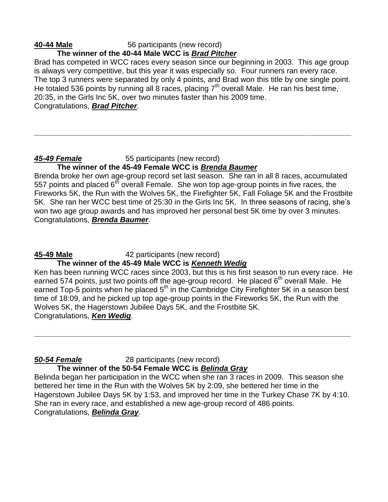#### **40-44 Male** 56 participants (new record) **The winner of the 40-44 Male WCC is** *Brad Pitcher*

Brad has competed in WCC races every season since our beginning in 2003. This age group is always very competitive, but this year it was especially so. Four runners ran every race. The top 3 runners were separated by only 4 points, and Brad won this title by one single point. He totaled 536 points by running all 8 races, placing  $7<sup>th</sup>$  overall Male. He ran his best time, 20:35, in the Girls Inc 5K, over two minutes faster than his 2009 time. Congratulations, *Brad Pitcher*.

**\_\_\_\_\_\_\_\_\_\_\_\_\_\_\_\_\_\_\_\_\_\_\_\_\_\_\_\_\_\_\_\_\_\_\_\_\_\_\_\_\_\_\_\_\_\_\_\_\_\_\_\_\_\_\_\_\_\_\_\_\_\_\_\_\_\_\_\_\_\_\_\_\_\_\_**

#### *45-49 Female* 55 participants (new record) **The winner of the 45-49 Female WCC is** *Brenda Baumer*

Brenda broke her own age-group record set last season. She ran in all 8 races, accumulated 557 points and placed  $6^{t}$  overall Female. She won top age-group points in five races, the Fireworks 5K, the Run with the Wolves 5K, the Firefighter 5K, Fall Foliage 5K and the Frostbite 5K. She ran her WCC best time of 25:30 in the Girls Inc 5K. In three seasons of racing, she's won two age group awards and has improved her personal best 5K time by over 3 minutes. Congratulations, *Brenda Baumer*.

**45-49 Male** 42 participants (new record)

# **The winner of the 45-49 Male WCC is** *Kenneth Wedig*

Ken has been running WCC races since 2003, but this is his first season to run every race. He earned 574 points, just two points off the age-group record. He placed 6<sup>th</sup> overall Male. He earned Top-5 points when he placed  $5<sup>th</sup>$  in the Cambridge City Firefighter 5K in a season best time of 18:09, and he picked up top age-group points in the Fireworks 5K, the Run with the Wolves 5K, the Hagerstown Jubilee Days 5K, and the Frostbite 5K. Congratulations, *Ken Wedig*.

**\_\_\_\_\_\_\_\_\_\_\_\_\_\_\_\_\_\_\_\_\_\_\_\_\_\_\_\_\_\_\_\_\_\_\_\_\_\_\_\_\_\_\_\_\_\_\_\_\_\_\_\_\_\_\_\_\_\_\_\_\_\_\_\_\_\_\_\_\_\_\_\_\_\_\_**

*50-54 Female* 28 participants (new record)

# **The winner of the 50-54 Female WCC is** *Belinda Gray*

Belinda began her participation in the WCC when she ran 3 races in 2009. This season she bettered her time in the Run with the Wolves 5K by 2:09, she bettered her time in the Hagerstown Jubilee Days 5K by 1:53, and improved her time in the Turkey Chase 7K by 4:10. She ran in every race, and established a new age-group record of 486 points. Congratulations, *Belinda Gray*.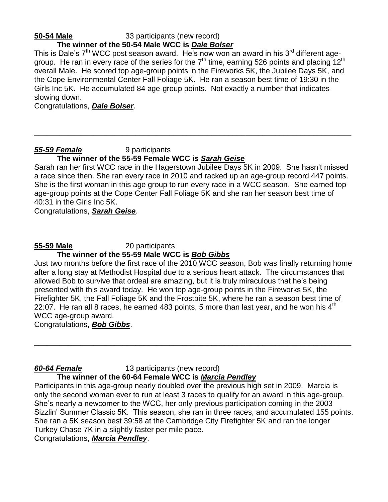#### **50-54 Male** 33 participants (new record) **The winner of the 50-54 Male WCC is** *Dale Bolser*

This is Dale's  $7<sup>th</sup>$  WCC post season award. He's now won an award in his  $3<sup>rd</sup>$  different agegroup. He ran in every race of the series for the  $7<sup>th</sup>$  time, earning 526 points and placing  $12<sup>th</sup>$ overall Male. He scored top age-group points in the Fireworks 5K, the Jubilee Days 5K, and the Cope Environmental Center Fall Foliage 5K. He ran a season best time of 19:30 in the Girls Inc 5K. He accumulated 84 age-group points. Not exactly a number that indicates slowing down.

Congratulations, *Dale Bolser*.

#### **55-59 Female** 9 participants

### **The winner of the 55-59 Female WCC is** *Sarah Geise*

Sarah ran her first WCC race in the Hagerstown Jubilee Days 5K in 2009. She hasn't missed a race since then. She ran every race in 2010 and racked up an age-group record 447 points. She is the first woman in this age group to run every race in a WCC season. She earned top age-group points at the Cope Center Fall Foliage 5K and she ran her season best time of 40:31 in the Girls Inc 5K.

**\_\_\_\_\_\_\_\_\_\_\_\_\_\_\_\_\_\_\_\_\_\_\_\_\_\_\_\_\_\_\_\_\_\_\_\_\_\_\_\_\_\_\_\_\_\_\_\_\_\_\_\_\_\_\_\_\_\_\_\_\_\_\_\_\_\_\_\_\_\_\_\_\_\_\_**

Congratulations, *Sarah Geise*.

# **55-59 Male** 20 participants **The winner of the 55-59 Male WCC is** *Bob Gibbs*

Just two months before the first race of the 2010 WCC season, Bob was finally returning home after a long stay at Methodist Hospital due to a serious heart attack. The circumstances that allowed Bob to survive that ordeal are amazing, but it is truly miraculous that he's being presented with this award today. He won top age-group points in the Fireworks 5K, the Firefighter 5K, the Fall Foliage 5K and the Frostbite 5K, where he ran a season best time of 22:07. He ran all 8 races, he earned 483 points, 5 more than last year, and he won his  $4<sup>th</sup>$ WCC age-group award.

**\_\_\_\_\_\_\_\_\_\_\_\_\_\_\_\_\_\_\_\_\_\_\_\_\_\_\_\_\_\_\_\_\_\_\_\_\_\_\_\_\_\_\_\_\_\_\_\_\_\_\_\_\_\_\_\_\_\_\_\_\_\_\_\_\_\_\_\_\_\_\_\_\_\_\_**

Congratulations, *Bob Gibbs*.

### *60-64 Female* 13 participants (new record) **The winner of the 60-64 Female WCC is** *Marcia Pendley*

Participants in this age-group nearly doubled over the previous high set in 2009. Marcia is only the second woman ever to run at least 3 races to qualify for an award in this age-group. She's nearly a newcomer to the WCC, her only previous participation coming in the 2003 Sizzlin' Summer Classic 5K. This season, she ran in three races, and accumulated 155 points. She ran a 5K season best 39:58 at the Cambridge City Firefighter 5K and ran the longer Turkey Chase 7K in a slightly faster per mile pace.

Congratulations, *Marcia Pendley*.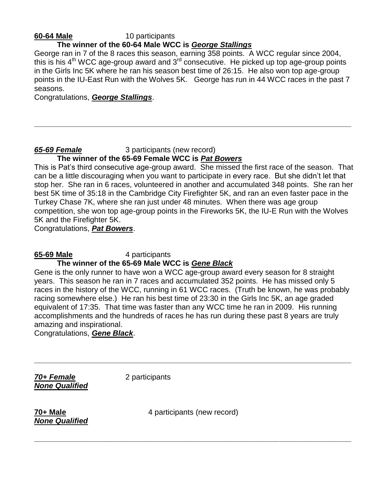# **60-64 Male** 10 participants

### **The winner of the 60-64 Male WCC is** *George Stallings*

George ran in 7 of the 8 races this season, earning 358 points. A WCC regular since 2004, this is his  $4<sup>th</sup> WCC$  age-group award and  $3<sup>rd</sup>$  consecutive. He picked up top age-group points in the Girls Inc 5K where he ran his season best time of 26:15. He also won top age-group points in the IU-East Run with the Wolves 5K. George has run in 44 WCC races in the past 7 seasons.

**\_\_\_\_\_\_\_\_\_\_\_\_\_\_\_\_\_\_\_\_\_\_\_\_\_\_\_\_\_\_\_\_\_\_\_\_\_\_\_\_\_\_\_\_\_\_\_\_\_\_\_\_\_\_\_\_\_\_\_\_\_\_\_\_\_\_\_\_\_\_\_\_\_\_\_**

Congratulations, *George Stallings*.

#### *65-69 Female* 3 participants (new record) **The winner of the 65-69 Female WCC is** *Pat Bowers*

This is Pat's third consecutive age-group award. She missed the first race of the season. That can be a little discouraging when you want to participate in every race. But she didn't let that stop her. She ran in 6 races, volunteered in another and accumulated 348 points. She ran her best 5K time of 35:18 in the Cambridge City Firefighter 5K, and ran an even faster pace in the Turkey Chase 7K, where she ran just under 48 minutes. When there was age group competition, she won top age-group points in the Fireworks 5K, the IU-E Run with the Wolves 5K and the Firefighter 5K.

Congratulations, *Pat Bowers*.

**65-69 Male** 4 participants

#### **The winner of the 65-69 Male WCC is** *Gene Black*

Gene is the only runner to have won a WCC age-group award every season for 8 straight years. This season he ran in 7 races and accumulated 352 points. He has missed only 5 races in the history of the WCC, running in 61 WCC races. (Truth be known, he was probably racing somewhere else.) He ran his best time of 23:30 in the Girls Inc 5K, an age graded equivalent of 17:35. That time was faster than any WCC time he ran in 2009. His running accomplishments and the hundreds of races he has run during these past 8 years are truly amazing and inspirational.

Congratulations, *Gene Black*.

*70+ Female* 2 participants *None Qualified*

*None Qualified*

**70+ Male 1988 120 CM 4** participants (new record)

**\_\_\_\_\_\_\_\_\_\_\_\_\_\_\_\_\_\_\_\_\_\_\_\_\_\_\_\_\_\_\_\_\_\_\_\_\_\_\_\_\_\_\_\_\_\_\_\_\_\_\_\_\_\_\_\_\_\_\_\_\_\_\_\_\_\_\_\_\_\_\_\_\_\_\_**

**\_\_\_\_\_\_\_\_\_\_\_\_\_\_\_\_\_\_\_\_\_\_\_\_\_\_\_\_\_\_\_\_\_\_\_\_\_\_\_\_\_\_\_\_\_\_\_\_\_\_\_\_\_\_\_\_\_\_\_\_\_\_\_\_\_\_\_\_\_\_\_\_\_\_\_**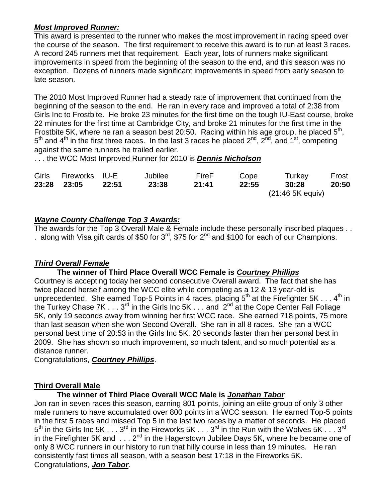# *Most Improved Runner:*

This award is presented to the runner who makes the most improvement in racing speed over the course of the season. The first requirement to receive this award is to run at least 3 races. A record 245 runners met that requirement. Each year, lots of runners make significant improvements in speed from the beginning of the season to the end, and this season was no exception. Dozens of runners made significant improvements in speed from early season to late season.

The 2010 Most Improved Runner had a steady rate of improvement that continued from the beginning of the season to the end. He ran in every race and improved a total of 2:38 from Girls Inc to Frostbite. He broke 23 minutes for the first time on the tough IU-East course, broke 22 minutes for the first time at Cambridge City, and broke 21 minutes for the first time in the Frostbite 5K, where he ran a season best 20:50. Racing within his age group, he placed  $5<sup>th</sup>$ ,  $5<sup>th</sup>$  and 4<sup>th</sup> in the first three races. In the last 3 races he placed 2<sup>nd</sup>, 2<sup>nd</sup>, and 1<sup>st</sup>, competing against the same runners he trailed earlier.

. . . the WCC Most Improved Runner for 2010 is *Dennis Nicholson*

| Girls Fireworks IU-E |       | Jubilee | FireF | Cope  | Turkey           | Frost |
|----------------------|-------|---------|-------|-------|------------------|-------|
| 23:28 23:05          | 22:51 | 23:38   | 21:41 | 22:55 | 30:28            | 20:50 |
|                      |       |         |       |       | (21:46 5K equiv) |       |

# *Wayne County Challenge Top 3 Awards:*

The awards for the Top 3 Overall Male & Female include these personally inscribed plaques . . . along with Visa gift cards of \$50 for  $3^{\text{rd}}$ , \$75 for  $2^{\text{nd}}$  and \$100 for each of our Champions.

# *Third Overall Female*

# **The winner of Third Place Overall WCC Female is** *Courtney Phillips*

Courtney is accepting today her second consecutive Overall award. The fact that she has twice placed herself among the WCC elite while competing as a 12 & 13 year-old is unprecedented. She earned Top-5 Points in 4 races, placing  $5<sup>th</sup>$  at the Firefighter  $5K \ldots 4<sup>th</sup>$  in the Turkey Chase 7K  $\dots$  3<sup>rd</sup> in the Girls Inc 5K  $\dots$  and 2<sup>nd</sup> at the Cope Center Fall Foliage 5K, only 19 seconds away from winning her first WCC race. She earned 718 points, 75 more than last season when she won Second Overall. She ran in all 8 races. She ran a WCC personal best time of 20:53 in the Girls Inc 5K, 20 seconds faster than her personal best in 2009. She has shown so much improvement, so much talent, and so much potential as a distance runner.

Congratulations, *Courtney Phillips*.

# **Third Overall Male**

# **The winner of Third Place Overall WCC Male is** *Jonathan Tabor*

Jon ran in seven races this season, earning 801 points, joining an elite group of only 3 other male runners to have accumulated over 800 points in a WCC season. He earned Top-5 points in the first 5 races and missed Top 5 in the last two races by a matter of seconds. He placed  $5^{\text{th}}$  in the Girls Inc 5K  $\ldots 3^{\text{rd}}$  in the Fireworks 5K  $\ldots 3^{\text{rd}}$  in the Run with the Wolves 5K  $\ldots 3^{\text{rd}}$ in the Firefighter 5K and  $\dots$  2<sup>nd</sup> in the Hagerstown Jubilee Days 5K, where he became one of only 8 WCC runners in our history to run that hilly course in less than 19 minutes. He ran consistently fast times all season, with a season best 17:18 in the Fireworks 5K. Congratulations, *Jon Tabor*.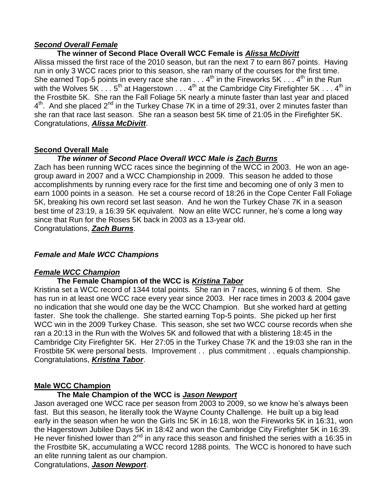#### *Second Overall Female*

# **The winner of Second Place Overall WCC Female is** *Alissa McDivitt*

Alissa missed the first race of the 2010 season, but ran the next 7 to earn 867 points. Having run in only 3 WCC races prior to this season, she ran many of the courses for the first time. She earned Top-5 points in every race she ran  $\dots$  4<sup>th</sup> in the Fireworks 5K  $\dots$  4<sup>th</sup> in the Run with the Wolves 5K  $\dots$  5<sup>th</sup> at Hagerstown  $\dots$  4<sup>th</sup> at the Cambridge City Firefighter 5K  $\dots$  4<sup>th</sup> in the Frostbite 5K. She ran the Fall Foliage 5K nearly a minute faster than last year and placed 4<sup>th</sup>. And she placed 2<sup>nd</sup> in the Turkey Chase 7K in a time of 29:31, over 2 minutes faster than she ran that race last season. She ran a season best 5K time of 21:05 in the Firefighter 5K. Congratulations, *Alissa McDivitt*.

### **Second Overall Male**

# *The winner of Second Place Overall WCC Male is Zach Burns*

Zach has been running WCC races since the beginning of the WCC in 2003. He won an agegroup award in 2007 and a WCC Championship in 2009. This season he added to those accomplishments by running every race for the first time and becoming one of only 3 men to earn 1000 points in a season. He set a course record of 18:26 in the Cope Center Fall Foliage 5K, breaking his own record set last season. And he won the Turkey Chase 7K in a season best time of 23:19, a 16:39 5K equivalent. Now an elite WCC runner, he's come a long way since that Run for the Roses 5K back in 2003 as a 13-year old.

Congratulations, *Zach Burns*.

### *Female and Male WCC Champions*

# *Female WCC Champion*

# **The Female Champion of the WCC is** *Kristina Tabor*

Kristina set a WCC record of 1344 total points. She ran in 7 races, winning 6 of them. She has run in at least one WCC race every year since 2003. Her race times in 2003 & 2004 gave no indication that she would one day be the WCC Champion. But she worked hard at getting faster. She took the challenge. She started earning Top-5 points. She picked up her first WCC win in the 2009 Turkey Chase. This season, she set two WCC course records when she ran a 20:13 in the Run with the Wolves 5K and followed that with a blistering 18:45 in the Cambridge City Firefighter 5K. Her 27:05 in the Turkey Chase 7K and the 19:03 she ran in the Frostbite 5K were personal bests. Improvement . . plus commitment . . equals championship. Congratulations, *Kristina Tabor*.

#### **Male WCC Champion**

# **The Male Champion of the WCC is** *Jason Newport*

Jason averaged one WCC race per season from 2003 to 2009, so we know he's always been fast. But this season, he literally took the Wayne County Challenge. He built up a big lead early in the season when he won the Girls Inc 5K in 16:18, won the Fireworks 5K in 16:31, won the Hagerstown Jubilee Days 5K in 18:42 and won the Cambridge City Firefighter 5K in 16:39. He never finished lower than  $2^{nd}$  in any race this season and finished the series with a 16:35 in the Frostbite 5K, accumulating a WCC record 1288 points. The WCC is honored to have such an elite running talent as our champion.

Congratulations, *Jason Newport*.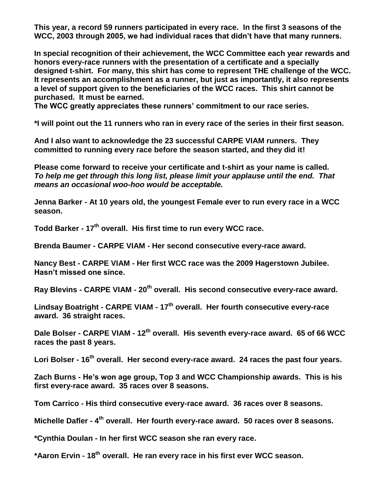**This year, a record 59 runners participated in every race. In the first 3 seasons of the WCC, 2003 through 2005, we had individual races that didn't have that many runners.**

**In special recognition of their achievement, the WCC Committee each year rewards and honors every-race runners with the presentation of a certificate and a specially designed t-shirt. For many, this shirt has come to represent THE challenge of the WCC. It represents an accomplishment as a runner, but just as importantly, it also represents a level of support given to the beneficiaries of the WCC races. This shirt cannot be purchased. It must be earned.** 

**The WCC greatly appreciates these runners' commitment to our race series.** 

**\*I will point out the 11 runners who ran in every race of the series in their first season.**

**And I also want to acknowledge the 23 successful CARPE VIAM runners. They committed to running every race before the season started, and they did it!** 

**Please come forward to receive your certificate and t-shirt as your name is called.**  *To help me get through this long list, please limit your applause until the end. That means an occasional woo-hoo would be acceptable.*

**Jenna Barker - At 10 years old, the youngest Female ever to run every race in a WCC season.** 

**Todd Barker - 17th overall. His first time to run every WCC race.** 

**Brenda Baumer - CARPE VIAM - Her second consecutive every-race award.**

**Nancy Best - CARPE VIAM - Her first WCC race was the 2009 Hagerstown Jubilee. Hasn't missed one since.** 

**Ray Blevins - CARPE VIAM - 20th overall. His second consecutive every-race award.** 

**Lindsay Boatright - CARPE VIAM - 17th overall. Her fourth consecutive every-race award. 36 straight races.**

**Dale Bolser - CARPE VIAM - 12th overall. His seventh every-race award. 65 of 66 WCC races the past 8 years.**

**Lori Bolser - 16th overall. Her second every-race award. 24 races the past four years.**

**Zach Burns - He's won age group, Top 3 and WCC Championship awards. This is his first every-race award. 35 races over 8 seasons.**

**Tom Carrico - His third consecutive every-race award. 36 races over 8 seasons.**

**Michelle Dafler - 4 th overall. Her fourth every-race award. 50 races over 8 seasons.**

**\*Cynthia Doulan - In her first WCC season she ran every race.**

**\*Aaron Ervin - 18th overall. He ran every race in his first ever WCC season.**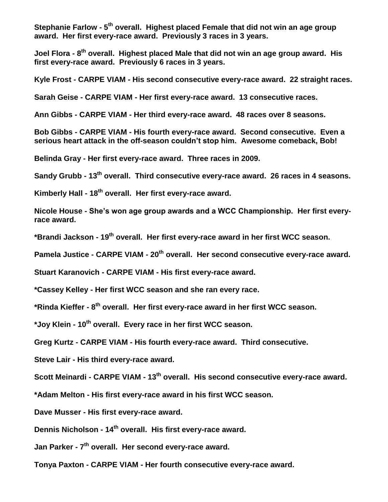**Stephanie Farlow - 5<sup>th</sup> overall. Highest placed Female that did not win an age group award. Her first every-race award. Previously 3 races in 3 years.**

**Joel Flora - 8 th overall. Highest placed Male that did not win an age group award. His first every-race award. Previously 6 races in 3 years.**

**Kyle Frost - CARPE VIAM - His second consecutive every-race award. 22 straight races.**

**Sarah Geise - CARPE VIAM - Her first every-race award. 13 consecutive races.**

**Ann Gibbs - CARPE VIAM - Her third every-race award. 48 races over 8 seasons.**

**Bob Gibbs - CARPE VIAM - His fourth every-race award. Second consecutive. Even a serious heart attack in the off-season couldn't stop him. Awesome comeback, Bob!**

**Belinda Gray - Her first every-race award. Three races in 2009.**

**Sandy Grubb - 13th overall. Third consecutive every-race award. 26 races in 4 seasons.**

**Kimberly Hall - 18th overall. Her first every-race award.** 

**Nicole House - She's won age group awards and a WCC Championship. Her first everyrace award.**

**\*Brandi Jackson - 19th overall. Her first every-race award in her first WCC season.**

**Pamela Justice - CARPE VIAM - 20th overall. Her second consecutive every-race award.**

**Stuart Karanovich - CARPE VIAM - His first every-race award.**

**\*Cassey Kelley - Her first WCC season and she ran every race.**

**\*Rinda Kieffer - 8 th overall. Her first every-race award in her first WCC season.**

**\*Joy Klein - 10th overall. Every race in her first WCC season.**

**Greg Kurtz - CARPE VIAM - His fourth every-race award. Third consecutive.** 

**Steve Lair - His third every-race award.**

**Scott Meinardi - CARPE VIAM - 13th overall. His second consecutive every-race award.**

**\*Adam Melton - His first every-race award in his first WCC season.**

**Dave Musser - His first every-race award.**

**Dennis Nicholson - 14th overall. His first every-race award.**

**Jan Parker - 7 th overall. Her second every-race award.**

**Tonya Paxton - CARPE VIAM - Her fourth consecutive every-race award.**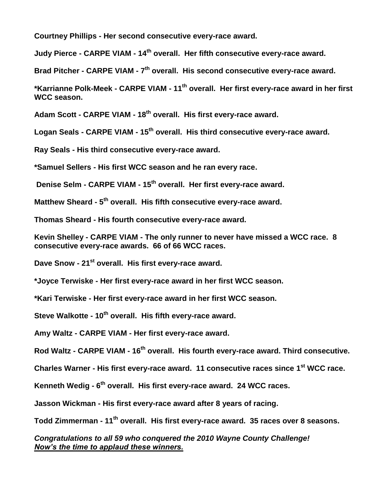**Courtney Phillips - Her second consecutive every-race award.**

**Judy Pierce - CARPE VIAM - 14th overall. Her fifth consecutive every-race award.**

**Brad Pitcher - CARPE VIAM - 7 th overall. His second consecutive every-race award.**

**\*Karrianne Polk-Meek - CARPE VIAM - 11th overall. Her first every-race award in her first WCC season.**

**Adam Scott - CARPE VIAM - 18th overall. His first every-race award.**

**Logan Seals - CARPE VIAM - 15th overall. His third consecutive every-race award.**

**Ray Seals - His third consecutive every-race award.**

**\*Samuel Sellers - His first WCC season and he ran every race.**

**Denise Selm - CARPE VIAM - 15th overall. Her first every-race award.**

**Matthew Sheard - 5 th overall. His fifth consecutive every-race award.**

**Thomas Sheard - His fourth consecutive every-race award.**

**Kevin Shelley - CARPE VIAM - The only runner to never have missed a WCC race. 8 consecutive every-race awards. 66 of 66 WCC races.**

**Dave Snow - 21st overall. His first every-race award.**

**\*Joyce Terwiske - Her first every-race award in her first WCC season.**

**\*Kari Terwiske - Her first every-race award in her first WCC season.**

**Steve Walkotte - 10th overall. His fifth every-race award.**

**Amy Waltz - CARPE VIAM - Her first every-race award.**

**Rod Waltz - CARPE VIAM - 16th overall. His fourth every-race award. Third consecutive.**

**Charles Warner - His first every-race award. 11 consecutive races since 1 st WCC race.**

**Kenneth Wedig - 6 th overall. His first every-race award. 24 WCC races.**

**Jasson Wickman - His first every-race award after 8 years of racing.** 

**Todd Zimmerman - 11th overall. His first every-race award. 35 races over 8 seasons.**

*Congratulations to all 59 who conquered the 2010 Wayne County Challenge! Now's the time to applaud these winners.*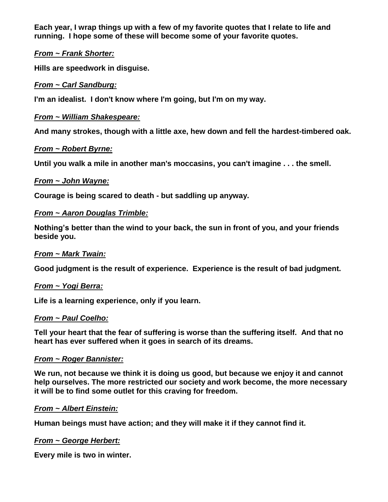**Each year, I wrap things up with a few of my favorite quotes that I relate to life and running. I hope some of these will become some of your favorite quotes.**

### *From ~ Frank Shorter:*

**Hills are speedwork in disguise.** 

### *From ~ Carl Sandburg:*

**I'm an idealist. I don't know where I'm going, but I'm on my way.**

### *From ~ William Shakespeare:*

**And many strokes, though with a little axe, hew down and fell the hardest-timbered oak.**

#### *From ~ Robert Byrne:*

**Until you walk a mile in another man's moccasins, you can't imagine . . . the smell.**

### *From ~ John Wayne:*

**Courage is being scared to death - but saddling up anyway.**

### *From ~ Aaron Douglas Trimble:*

**Nothing's better than the wind to your back, the sun in front of you, and your friends beside you.**

#### *From ~ Mark Twain:*

**Good judgment is the result of experience. Experience is the result of bad judgment.**

#### *From ~ Yogi Berra:*

**Life is a learning experience, only if you learn.**

#### *From ~ Paul Coelho:*

**Tell your heart that the fear of suffering is worse than the suffering itself. And that no heart has ever suffered when it goes in search of its dreams.**

#### *From ~ Roger Bannister:*

**We run, not because we think it is doing us good, but because we enjoy it and cannot help ourselves. The more restricted our society and work become, the more necessary it will be to find some outlet for this craving for freedom.**

#### *From ~ Albert Einstein:*

**Human beings must have action; and they will make it if they cannot find it.**

# *From ~ George Herbert:*

**Every mile is two in winter.**